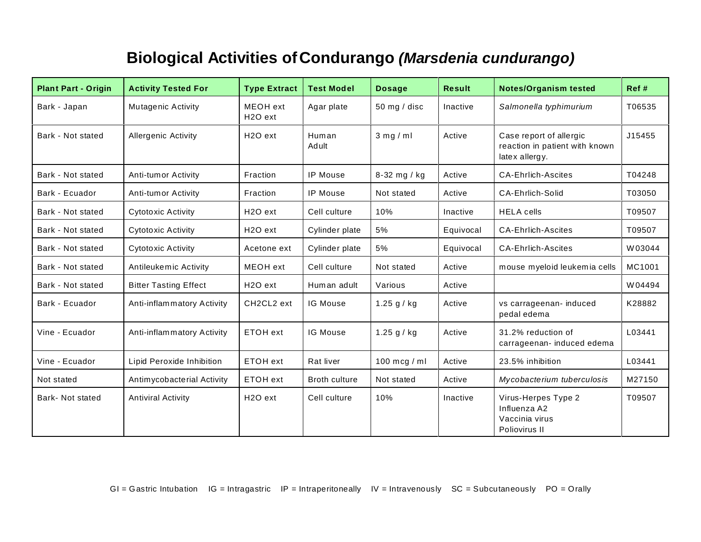## **Biological Activities ofCondurango** *(Marsdenia cundurango)*

| <b>Plant Part - Origin</b> | <b>Activity Tested For</b>   | <b>Type Extract</b>              | <b>Test Model</b>    | <b>Dosage</b>  | <b>Result</b> | <b>Notes/Organism tested</b>                                                | Ref #  |
|----------------------------|------------------------------|----------------------------------|----------------------|----------------|---------------|-----------------------------------------------------------------------------|--------|
| Bark - Japan               | <b>Mutagenic Activity</b>    | MEOH ext<br>H <sub>2</sub> O ext | Agar plate           | 50 mg / disc   | Inactive      | Salmonella typhimurium                                                      | T06535 |
| Bark - Not stated          | <b>Allergenic Activity</b>   | H <sub>2</sub> O ext             | Human<br>Adult       | $3$ mg / ml    | Active        | Case report of allergic<br>reaction in patient with known<br>latex allergy. | J15455 |
| Bark - Not stated          | Anti-tumor Activity          | Fraction                         | <b>IP Mouse</b>      | 8-32 mg / kg   | Active        | <b>CA-Ehrlich-Ascites</b>                                                   | T04248 |
| Bark - Ecuador             | Anti-tumor Activity          | Fraction                         | IP Mouse             | Not stated     | Active        | <b>CA-Ehrlich-Solid</b>                                                     | T03050 |
| Bark - Not stated          | Cytotoxic Activity           | H <sub>2</sub> O ext             | Cell culture         | 10%            | Inactive      | <b>HELA</b> cells                                                           | T09507 |
| Bark - Not stated          | Cytotoxic Activity           | H <sub>2</sub> O ext             | Cylinder plate       | 5%             | Equivocal     | <b>CA-Ehrlich-Ascites</b>                                                   | T09507 |
| Bark - Not stated          | Cytotoxic Activity           | Acetone ext                      | Cylinder plate       | 5%             | Equivocal     | <b>CA-Ehrlich-Ascites</b>                                                   | W03044 |
| Bark - Not stated          | Antileukemic Activity        | MEOH ext                         | Cell culture         | Not stated     | Active        | mouse myeloid leukemia cells                                                | MC1001 |
| Bark - Not stated          | <b>Bitter Tasting Effect</b> | H <sub>2</sub> O ext             | Human adult          | Various        | Active        |                                                                             | W04494 |
| Bark - Ecuador             | Anti-inflammatory Activity   | CH2CL2 ext                       | <b>IG Mouse</b>      | 1.25 $g / kg$  | Active        | vs carrageenan- induced<br>pedal edema                                      | K28882 |
| Vine - Ecuador             | Anti-inflammatory Activity   | ETOH ext                         | IG Mouse             | 1.25 $g / kg$  | Active        | 31.2% reduction of<br>carrageenan- induced edema                            | L03441 |
| Vine - Ecuador             | Lipid Peroxide Inhibition    | ETOH ext                         | Rat liver            | 100 mcg / $ml$ | Active        | 23.5% inhibition                                                            | L03441 |
| Not stated                 | Antimycobacterial Activity   | ETOH ext                         | <b>Broth culture</b> | Not stated     | Active        | Mycobacterium tuberculosis                                                  | M27150 |
| <b>Bark-Not stated</b>     | <b>Antiviral Activity</b>    | H <sub>2</sub> O ext             | Cell culture         | 10%            | Inactive      | Virus-Herpes Type 2<br>Influenza A2<br>Vaccinia virus<br>Poliovirus II      | T09507 |